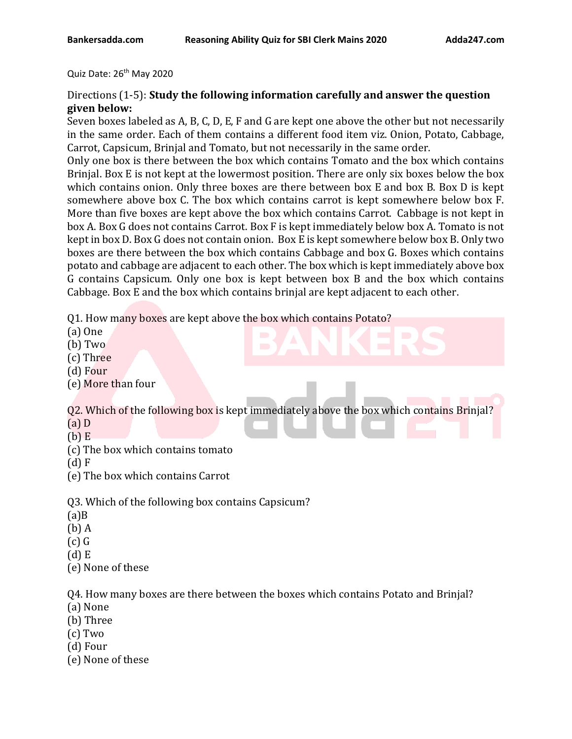Quiz Date: 26<sup>th</sup> May 2020

## Directions (1-5): **Study the following information carefully and answer the question given below:**

Seven boxes labeled as A, B, C, D, E, F and G are kept one above the other but not necessarily in the same order. Each of them contains a different food item viz. Onion, Potato, Cabbage, Carrot, Capsicum, Brinjal and Tomato, but not necessarily in the same order.

Only one box is there between the box which contains Tomato and the box which contains Brinjal. Box E is not kept at the lowermost position. There are only six boxes below the box which contains onion. Only three boxes are there between box E and box B. Box D is kept somewhere above box C. The box which contains carrot is kept somewhere below box F. More than five boxes are kept above the box which contains Carrot. Cabbage is not kept in box A. Box G does not contains Carrot. Box F is kept immediately below box A. Tomato is not kept in box D. Box G does not contain onion. Box E is kept somewhere below box B. Only two boxes are there between the box which contains Cabbage and box G. Boxes which contains potato and cabbage are adjacent to each other. The box which is kept immediately above box G contains Capsicum. Only one box is kept between box B and the box which contains Cabbage. Box E and the box which contains brinjal are kept adjacent to each other.

Q1. How many boxes are kept above the box which contains Potato?

- (a) One
- (b) Two
- (c) Three
- (d) Four
- (e) More than four

Q2. Which of the following box is kept immediately above the box which contains Brinjal? (a) D

- 
- $(b)$  E
- (c) The box which contains tomato
- (d) F
- (e) The box which contains Carrot

Q3. Which of the following box contains Capsicum?

- $(a)$ B
- (b) A
- $(c)$   $G$
- (d) E
- (e) None of these

Q4. How many boxes are there between the boxes which contains Potato and Brinjal?

- (a) None
- (b) Three
- (c) Two
- (d) Four
- (e) None of these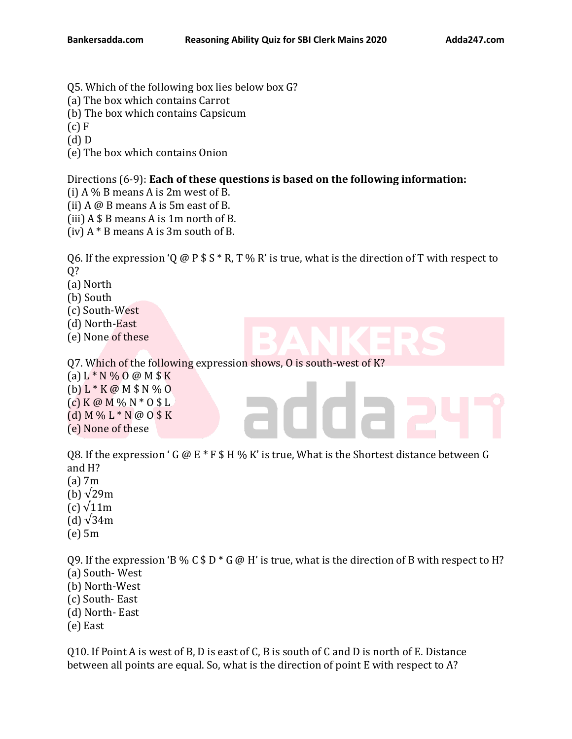- Q5. Which of the following box lies below box G?
- (a) The box which contains Carrot
- (b) The box which contains Capsicum
- $(c)$  F

(d) D

(e) The box which contains Onion

## Directions (6-9): **Each of these questions is based on the following information:**

(i)  $A\%$  B means A is 2m west of B.

- (ii) A @ B means A is 5m east of B.
- (iii) A \$ B means A is 1m north of B.
- (iv)  $A * B$  means A is 3m south of B.

Q6. If the expression 'Q @ P  $$ S * R$ , T % R' is true, what is the direction of T with respect to Q?

(a) North

(b) South

(c) South-West

(d) North-East

(e) None of these

Q7. Which of the following expression shows, O is south-west of K?

(a)  $L * N \% O @ M $ K$ 

(b) L \* K @ M \$ N % O  $(c)$  K @ M % N  $*$  O \$ L

- (d) M % L \* N @ O \$ K
- 
- (e) None of these

08. If the expression ' G  $\omega$  E  $*$  F  $\frac{1}{2}$  H % K' is true, What is the Shortest distance between G and H?

- (a) 7m
- (b)  $\sqrt{29m}$
- (c) √11m
- (d)  $\sqrt{34m}$
- (e) 5m

Q9. If the expression 'B % C \$ D  $*$  G @ H' is true, what is the direction of B with respect to H? (a) South- West

- (b) North-West
- (c) South- East
- (d) North- East
- (e) East

Q10. If Point A is west of B, D is east of C, B is south of C and D is north of E. Distance between all points are equal. So, what is the direction of point E with respect to A?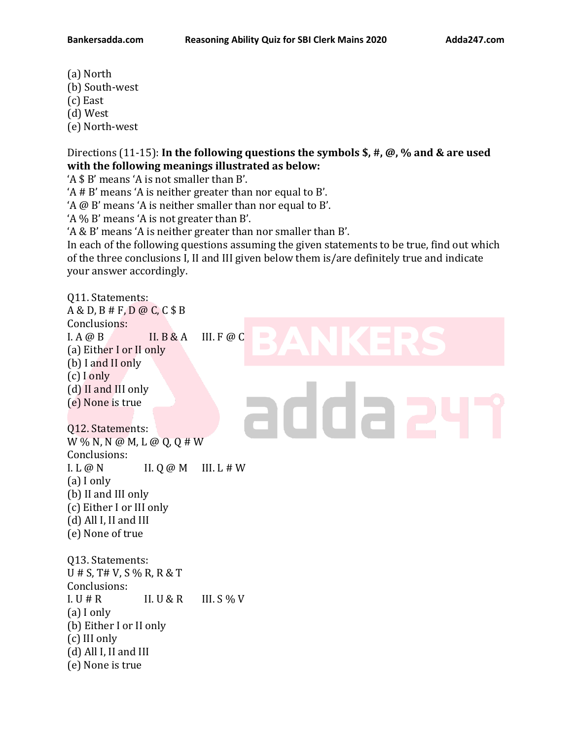- (a) North
- (b) South-west
- (c) East
- (d) West
- (e) North-west

Q11. Statements:

Directions (11-15): **In the following questions the symbols \$, #, @, % and & are used with the following meanings illustrated as below:**

'A \$ B' means 'A is not smaller than B'.

'A # B' means 'A is neither greater than nor equal to B'.

'A @ B' means 'A is neither smaller than nor equal to B'.

'A % B' means 'A is not greater than B'.

'A & B' means 'A is neither greater than nor smaller than B'.

In each of the following questions assuming the given statements to be true, find out which of the three conclusions I, II and III given below them is/are definitely true and indicate your answer accordingly.

A & D, B # F, D @ C, C \$ B Conclusions:  $I. A @ B$   $II. B & A$   $III. F @ C$ (a) Either I or II only (b) I and II only (c) I only (d) II and III only addaa (e) None is true Q12. Statements: W % N, N @ M, L @ Q, Q # W Conclusions:  $I. L @ N$   $II. Q @ M$   $III. L# W$ (a) I only (b) II and III only (c) Either I or III only (d) All I, II and III (e) None of true Q13. Statements: U # S, T# V, S % R, R & T Conclusions: I. U  $# R$  II. U & R III. S % V (a) I only (b) Either I or II only (c) III only

- (d) All I, II and III
- (e) None is true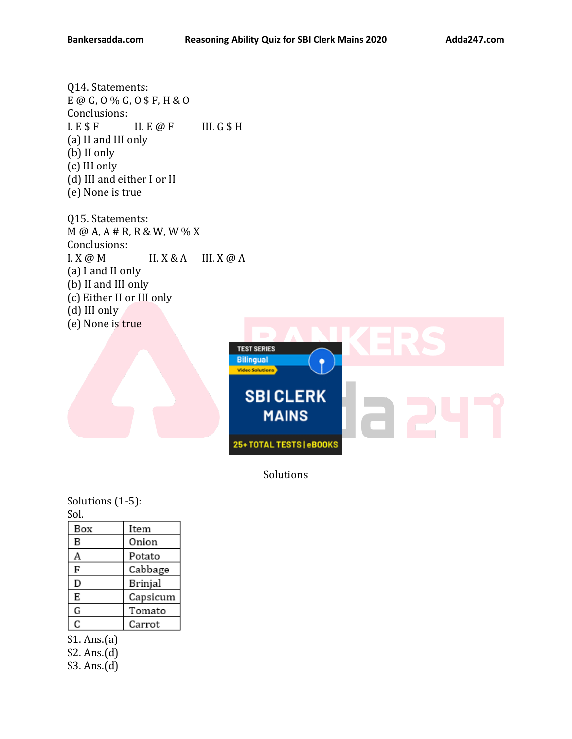Q14. Statements: E @ G, O % G, O \$ F, H & O Conclusions:  $I. E$  \$  $F$  II.  $E$  @  $F$  III.  $G$  \$ H (a) II and III only (b) II only (c) III only (d) III and either I or II (e) None is true

Q15. Statements: M @ A, A # R, R & W, W % X Conclusions:  $I. X \omega M$   $II. X \& A$   $III. X \omega A$ (a) I and II only (b) II and III only (c) Either II or III only (d) III only (e) None is true



Solutions

Solutions (1-5): Sol.

| Box | Item     |
|-----|----------|
| B   | Onion    |
| Α   | Potato   |
| F   | Cabbage  |
| D   | Brinjal  |
| E   | Capsicum |
| G   | Tomato   |
| C   | Carrot   |

S1. Ans.(a)

S2. Ans.(d)

S3. Ans.(d)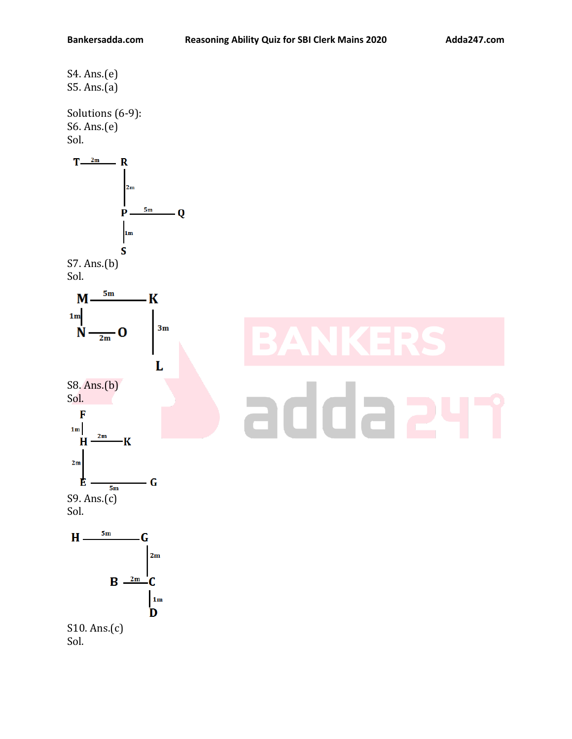S4. Ans.(e) S5. Ans.(a)

Solutions (6-9): S6. Ans.(e) Sol.



## addae